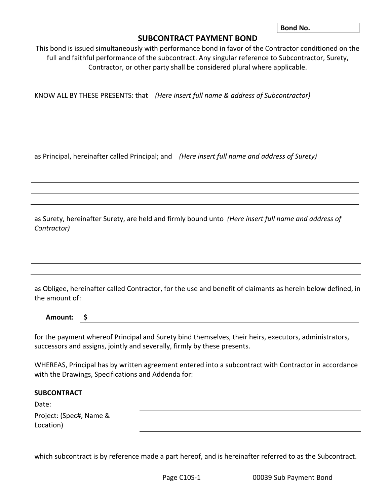**Bond No.** 

## **SUBCONTRACT PAYMENT BOND**

This bond is issued simultaneously with performance bond in favor of the Contractor conditioned on the full and faithful performance of the subcontract. Any singular reference to Subcontractor, Surety, Contractor, or other party shall be considered plural where applicable.

KNOW ALL BY THESE PRESENTS: that *(Here insert full name & address of Subcontractor)*

as Principal, hereinafter called Principal; and *(Here insert full name and address of Surety)*

as Surety, hereinafter Surety, are held and firmly bound unto *(Here insert full name and address of Contractor)*

as Obligee, hereinafter called Contractor, for the use and benefit of claimants as herein below defined, in the amount of:

**Amount: \$**

for the payment whereof Principal and Surety bind themselves, their heirs, executors, administrators, successors and assigns, jointly and severally, firmly by these presents.

WHEREAS, Principal has by written agreement entered into a subcontract with Contractor in accordance with the Drawings, Specifications and Addenda for:

## **SUBCONTRACT**

Date:

Project: (Spec#, Name & Location)

which subcontract is by reference made a part hereof, and is hereinafter referred to as the Subcontract.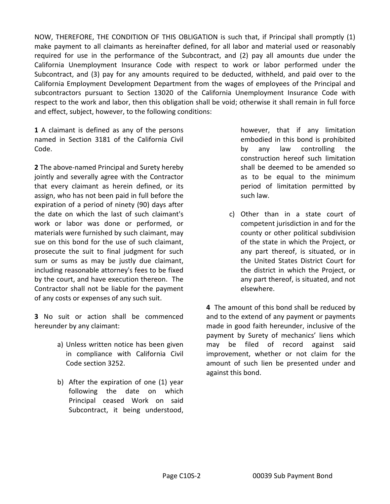NOW, THEREFORE, THE CONDITION OF THIS OBLIGATION is such that, if Principal shall promptly (1) make payment to all claimants as hereinafter defined, for all labor and material used or reasonably required for use in the performance of the Subcontract, and (2) pay all amounts due under the California Unemployment Insurance Code with respect to work or labor performed under the Subcontract, and (3) pay for any amounts required to be deducted, withheld, and paid over to the California Employment Development Department from the wages of employees of the Principal and subcontractors pursuant to Section 13020 of the California Unemployment Insurance Code with respect to the work and labor, then this obligation shall be void; otherwise it shall remain in full force and effect, subject, however, to the following conditions:

**1** A claimant is defined as any of the persons named in Section 3181 of the California Civil Code.

**2** The above-named Principal and Surety hereby jointly and severally agree with the Contractor that every claimant as herein defined, or its assign, who has not been paid in full before the expiration of a period of ninety (90) days after the date on which the last of such claimant's work or labor was done or performed, or materials were furnished by such claimant, may sue on this bond for the use of such claimant, prosecute the suit to final judgment for such sum or sums as may be justly due claimant, including reasonable attorney's fees to be fixed by the court, and have execution thereon. The Contractor shall not be liable for the payment of any costs or expenses of any such suit.

**3** No suit or action shall be commenced hereunder by any claimant:

- a) Unless written notice has been given in compliance with California Civil Code section 3252.
- b) After the expiration of one (1) year following the date on which Principal ceased Work on said Subcontract, it being understood,

however, that if any limitation embodied in this bond is prohibited by any law controlling the construction hereof such limitation shall be deemed to be amended so as to be equal to the minimum period of limitation permitted by such law.

c) Other than in a state court of competent jurisdiction in and for the county or other political subdivision of the state in which the Project, or any part thereof, is situated, or in the United States District Court for the district in which the Project, or any part thereof, is situated, and not elsewhere.

**4** The amount of this bond shall be reduced by and to the extend of any payment or payments made in good faith hereunder, inclusive of the payment by Surety of mechanics' liens which may be filed of record against said improvement, whether or not claim for the amount of such lien be presented under and against this bond.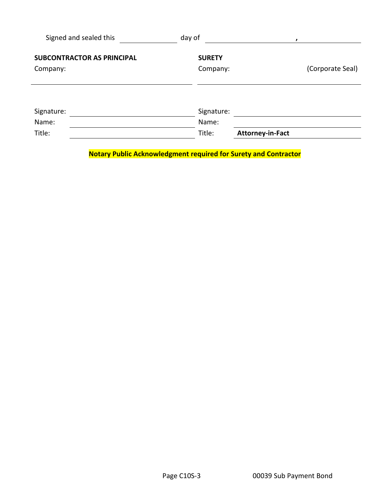| Signed and sealed this                        | day of                    |                         |
|-----------------------------------------------|---------------------------|-------------------------|
| <b>SUBCONTRACTOR AS PRINCIPAL</b><br>Company: | <b>SURETY</b><br>Company: | (Corporate Seal)        |
|                                               |                           |                         |
| Signature:                                    | Signature:                |                         |
| Name:                                         | Name:                     |                         |
| Title:                                        | Title:                    | <b>Attorney-in-Fact</b> |

**Notary Public Acknowledgment required for Surety and Contractor**